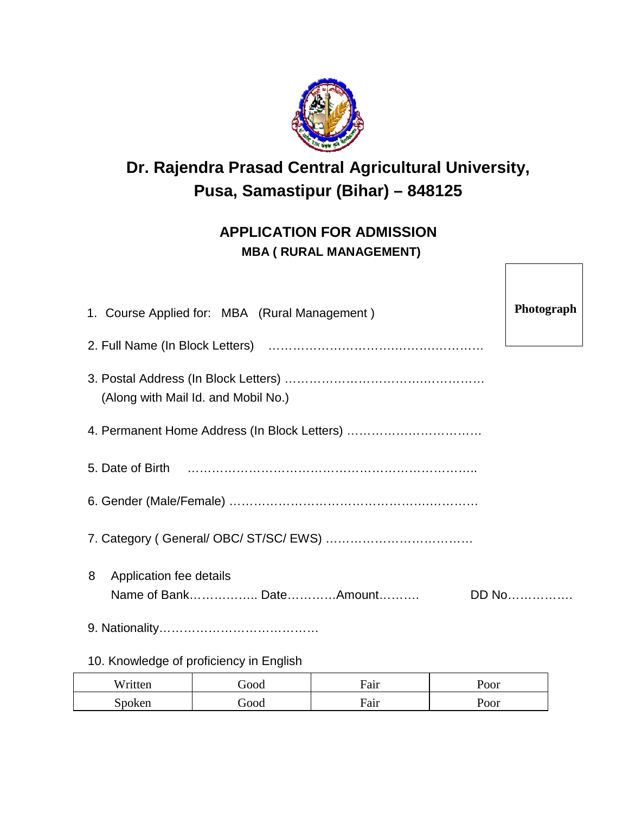

# **Dr. Rajendra Prasad Central Agricultural University, Pusa, Samastipur (Bihar) – 848125**

## **APPLICATION FOR ADMISSION MBA ( RURAL MANAGEMENT)**

| 1. Course Applied for: MBA (Rural Management)           |       |  |  |  |
|---------------------------------------------------------|-------|--|--|--|
|                                                         |       |  |  |  |
| (Along with Mail Id. and Mobil No.)                     |       |  |  |  |
| 4. Permanent Home Address (In Block Letters)            |       |  |  |  |
|                                                         |       |  |  |  |
|                                                         |       |  |  |  |
|                                                         |       |  |  |  |
| 8<br>Application fee details<br>Name of Bank DateAmount | DD No |  |  |  |
|                                                         |       |  |  |  |
|                                                         |       |  |  |  |

## 10. Knowledge of proficiency in English

| Written | ${\rm Good}$          | Fair | $\mathrm{roor}$ |
|---------|-----------------------|------|-----------------|
| `poken  | $\operatorname{Good}$ | Fair | $\mathrm{nor}$  |